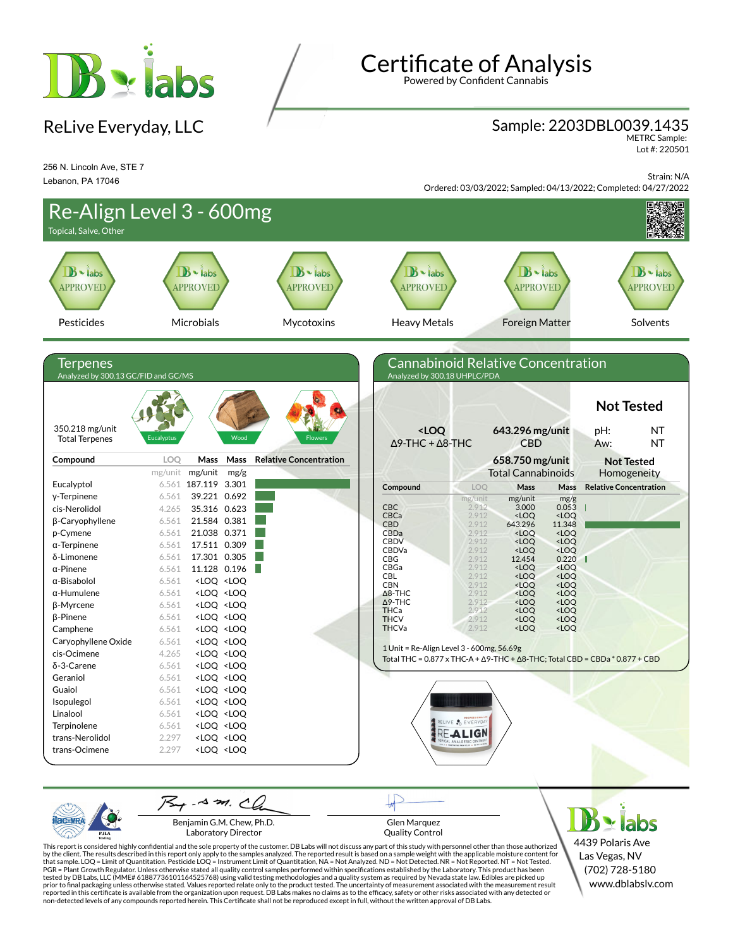

ReLive Everyday, LLC

# Certificate of Analysis

Powered by Confident Cannabis

## Sample: 2203DBL0039.1435

METRC Sample: Lot #: 220501

256 N. Lincoln Ave, STE 7 Lebanon, PA 17046

Strain: N/A Ordered: 03/03/2022; Sampled: 04/13/2022; Completed: 04/27/2022



Benjamin G.M. Chew, Ph.D. Laboratory Director

Glen Marquez Quality Control

4439 Polaris Ave Las Vegas, NV (702) 728-5180 www.dblabslv.com

This report is considered highly confidential and the sole property of the customer. DB Labs will not discuss any part of this study with personnel other than those authorized<br>by the client. The results described in this r tested by DB Labs, LLC (MME# 61887736101164525768) using valid testing methodologies and a quality system as required by Nevada state law. Edibles are picked up<br>prior to final packaging unless otherwise stated. Values repo reported in this certificate is available from the organization upon request. DB Labs makes no claims as to the efficacy, safety or other risks associated with any detected or<br>non-detected levels of any compounds reported